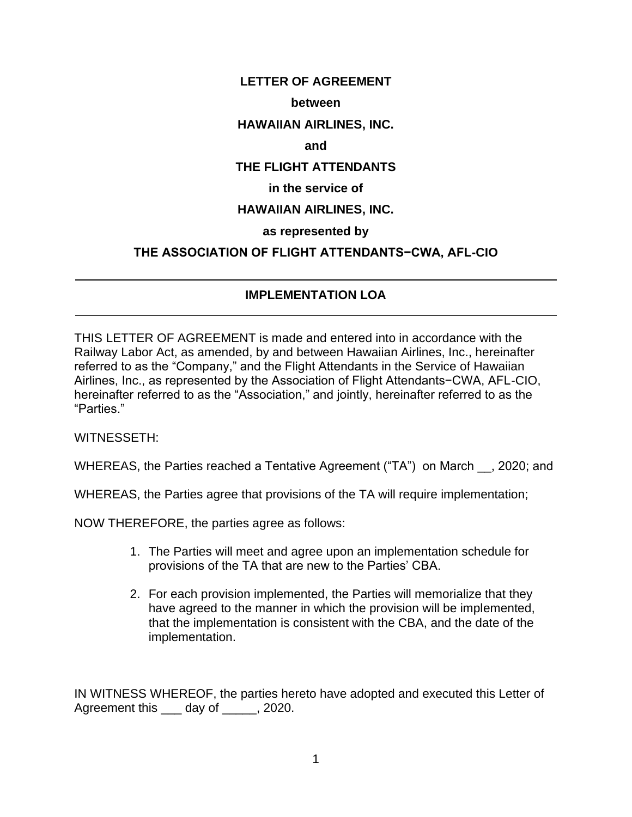### **LETTER OF AGREEMENT**

#### **between**

### **HAWAIIAN AIRLINES, INC.**

#### **and**

### **THE FLIGHT ATTENDANTS**

#### **in the service of**

## **HAWAIIAN AIRLINES, INC.**

## **as represented by**

## **THE ASSOCIATION OF FLIGHT ATTENDANTS−CWA, AFL-CIO**

# **IMPLEMENTATION LOA**

THIS LETTER OF AGREEMENT is made and entered into in accordance with the Railway Labor Act, as amended, by and between Hawaiian Airlines, Inc., hereinafter referred to as the "Company," and the Flight Attendants in the Service of Hawaiian Airlines, Inc., as represented by the Association of Flight Attendants−CWA, AFL-CIO, hereinafter referred to as the "Association," and jointly, hereinafter referred to as the "Parties."

WITNESSETH:

 $\overline{a}$ 

 $\overline{a}$ 

WHEREAS, the Parties reached a Tentative Agreement ("TA") on March . 2020; and

WHEREAS, the Parties agree that provisions of the TA will require implementation;

NOW THEREFORE, the parties agree as follows:

- 1. The Parties will meet and agree upon an implementation schedule for provisions of the TA that are new to the Parties' CBA.
- 2. For each provision implemented, the Parties will memorialize that they have agreed to the manner in which the provision will be implemented, that the implementation is consistent with the CBA, and the date of the implementation.

IN WITNESS WHEREOF, the parties hereto have adopted and executed this Letter of Agreement this \_\_\_\_ day of \_\_\_\_\_, 2020.